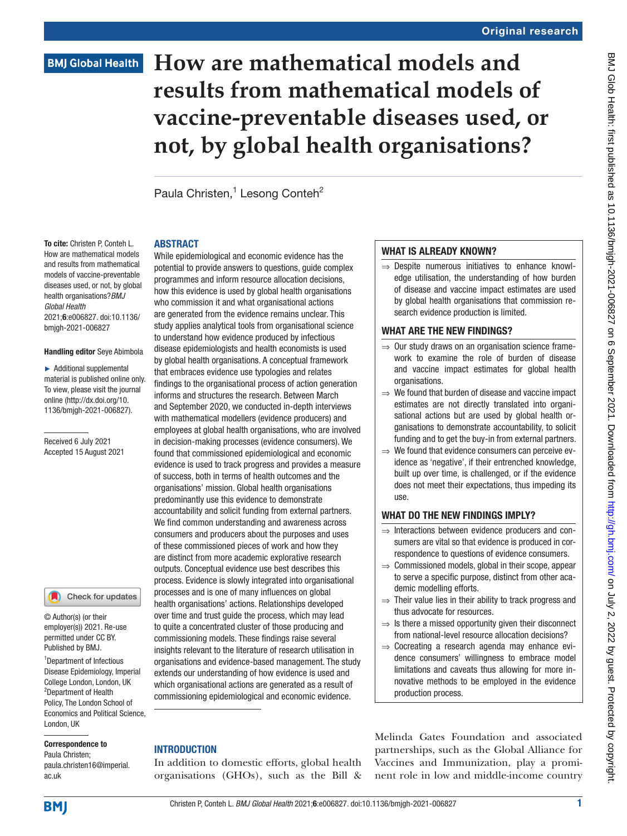# **How are mathematical models and results from mathematical models of vaccine-preventable diseases used, or not, by global health organisations?**

Paula Christen,<sup>1</sup> Lesong Conteh<sup>2</sup>

### ABSTRACT

To cite: Christen P, Conteh L. How are mathematical models and results from mathematical models of vaccine-preventable diseases used, or not, by global health organisations?*BMJ Global Health* 2021;6:e006827. doi:10.1136/ bmjgh-2021-006827

#### Handling editor Seye Abimbola

► Additional supplemental material is published online only. To view, please visit the journal online ([http://dx.doi.org/10.](http://dx.doi.org/10.1136/bmjgh-2021-006827) [1136/bmjgh-2021-006827](http://dx.doi.org/10.1136/bmjgh-2021-006827)).

Received 6 July 2021 Accepted 15 August 2021

### Check for updates

© Author(s) (or their employer(s)) 2021. Re-use permitted under CC BY. Published by BMJ.

1 Department of Infectious Disease Epidemiology, Imperial College London, London, UK 2 Department of Health Policy, The London School of Economics and Political Science, London, UK

#### Correspondence to

Paula Christen; paula.christen16@imperial. ac.uk

While epidemiological and economic evidence has the potential to provide answers to questions, guide complex programmes and inform resource allocation decisions, how this evidence is used by global health organisations who commission it and what organisational actions are generated from the evidence remains unclear. This study applies analytical tools from organisational science to understand how evidence produced by infectious disease epidemiologists and health economists is used by global health organisations. A conceptual framework that embraces evidence use typologies and relates findings to the organisational process of action generation informs and structures the research. Between March and September 2020, we conducted in-depth interviews with mathematical modellers (evidence producers) and employees at global health organisations, who are involved in decision-making processes (evidence consumers). We found that commissioned epidemiological and economic evidence is used to track progress and provides a measure of success, both in terms of health outcomes and the organisations' mission. Global health organisations predominantly use this evidence to demonstrate accountability and solicit funding from external partners. We find common understanding and awareness across consumers and producers about the purposes and uses of these commissioned pieces of work and how they are distinct from more academic explorative research outputs. Conceptual evidence use best describes this process. Evidence is slowly integrated into organisational processes and is one of many influences on global health organisations' actions. Relationships developed over time and trust guide the process, which may lead to quite a concentrated cluster of those producing and commissioning models. These findings raise several insights relevant to the literature of research utilisation in organisations and evidence-based management. The study extends our understanding of how evidence is used and which organisational actions are generated as a result of commissioning epidemiological and economic evidence.

## **INTRODUCTION**

In addition to domestic efforts, global health organisations (GHOs), such as the Bill &

### WHAT IS ALREADY KNOWN?

⇒ Despite numerous initiatives to enhance knowledge utilisation, the understanding of how burden of disease and vaccine impact estimates are used by global health organisations that commission research evidence production is limited.

# WHAT ARE THE NEW FINDINGS?

- ⇒ Our study draws on an organisation science framework to examine the role of burden of disease and vaccine impact estimates for global health organisations.
- ⇒ We found that burden of disease and vaccine impact estimates are not directly translated into organisational actions but are used by global health organisations to demonstrate accountability, to solicit funding and to get the buy-in from external partners.
- $\Rightarrow$  We found that evidence consumers can perceive evidence as 'negative', if their entrenched knowledge, built up over time, is challenged, or if the evidence does not meet their expectations, thus impeding its use.

# WHAT DO THE NEW FINDINGS IMPLY?

- ⇒ Interactions between evidence producers and consumers are vital so that evidence is produced in correspondence to questions of evidence consumers.
- $\Rightarrow$  Commissioned models, global in their scope, appear to serve a specific purpose, distinct from other academic modelling efforts.
- ⇒ Their value lies in their ability to track progress and thus advocate for resources.
- $\Rightarrow$  Is there a missed opportunity given their disconnect from national-level resource allocation decisions?
- ⇒ Cocreating a research agenda may enhance evidence consumers' willingness to embrace model limitations and caveats thus allowing for more innovative methods to be employed in the evidence production process.

Melinda Gates Foundation and associated partnerships, such as the Global Alliance for Vaccines and Immunization, play a prominent role in low and middle-income country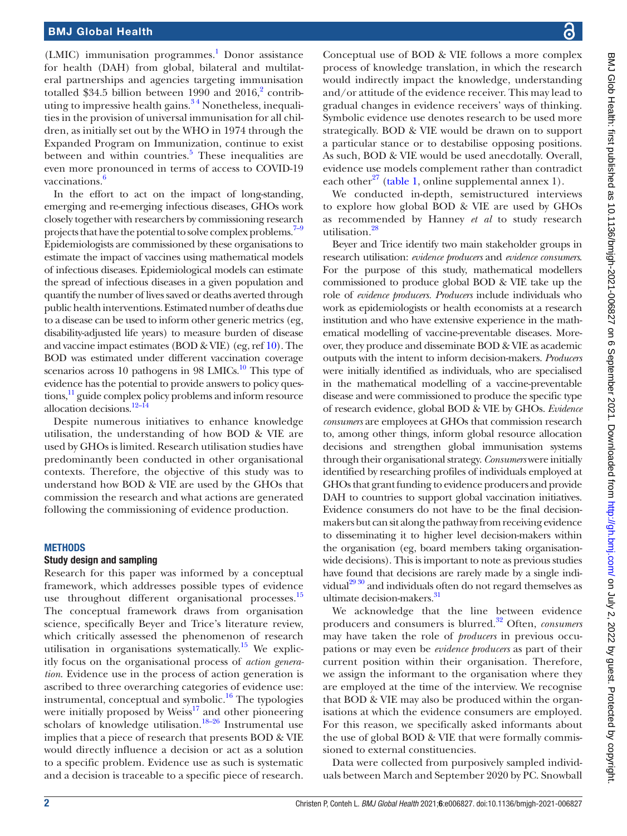(LMIC) immunisation programmes.<sup>1</sup> Donor assistance for health (DAH) from global, bilateral and multilateral partnerships and agencies targeting immunisation totalled \$34.5 billion between 1990 and  $2016$  $2016$ <sup>2</sup> contributing to impressive health gains.<sup>34</sup> Nonetheless, inequalities in the provision of universal immunisation for all children, as initially set out by the WHO in 1974 through the Expanded Program on Immunization, continue to exist between and within countries.<sup>[5](#page-8-3)</sup> These inequalities are even more pronounced in terms of access to COVID-19 vaccinations.<sup>[6](#page-8-4)</sup>

In the effort to act on the impact of long-standing, emerging and re-emerging infectious diseases, GHOs work closely together with researchers by commissioning research projects that have the potential to solve complex problems.<sup>7–9</sup> Epidemiologists are commissioned by these organisations to estimate the impact of vaccines using mathematical models of infectious diseases. Epidemiological models can estimate the spread of infectious diseases in a given population and quantify the number of lives saved or deaths averted through public health interventions. Estimated number of deaths due to a disease can be used to inform other generic metrics (eg, disability-adjusted life years) to measure burden of disease and vaccine impact estimates (BOD & VIE) (eg, ref [10\)](#page-8-6). The BOD was estimated under different vaccination coverage scenarios across 10 pathogens in 98 LMICs. $^{10}$  This type of evidence has the potential to provide answers to policy questions,<sup>11</sup> guide complex policy problems and inform resource allocation decisions.<sup>12–14</sup>

Despite numerous initiatives to enhance knowledge utilisation, the understanding of how BOD & VIE are used by GHOs is limited. Research utilisation studies have predominantly been conducted in other organisational contexts. Therefore, the objective of this study was to understand how BOD & VIE are used by the GHOs that commission the research and what actions are generated following the commissioning of evidence production.

#### **METHODS**

### Study design and sampling

Research for this paper was informed by a conceptual framework, which addresses possible types of evidence use throughout different organisational processes.<sup>[15](#page-8-9)</sup> The conceptual framework draws from organisation science, specifically Beyer and Trice's literature review, which critically assessed the phenomenon of research utilisation in organisations systematically.<sup>15</sup> We explicitly focus on the organisational process of *action generation*. Evidence use in the process of action generation is ascribed to three overarching categories of evidence use: instrumental, conceptual and symbolic. $16$  The typologies were initially proposed by Weiss<sup>17</sup> and other pioneering scholars of knowledge utilisation.<sup>18-26</sup> Instrumental use implies that a piece of research that presents BOD & VIE would directly influence a decision or act as a solution to a specific problem. Evidence use as such is systematic and a decision is traceable to a specific piece of research.

Conceptual use of BOD & VIE follows a more complex process of knowledge translation, in which the research would indirectly impact the knowledge, understanding and/or attitude of the evidence receiver. This may lead to gradual changes in evidence receivers' ways of thinking. Symbolic evidence use denotes research to be used more strategically. BOD & VIE would be drawn on to support a particular stance or to destabilise opposing positions. As such, BOD & VIE would be used anecdotally. Overall, evidence use models complement rather than contradict each other<sup>27</sup> ([table](#page-2-0) 1, [online supplemental annex 1](https://dx.doi.org/10.1136/bmjgh-2021-006827)).

We conducted in-depth, semistructured interviews to explore how global BOD & VIE are used by GHOs as recommended by Hanney *et al* to study research utilisation.<sup>[28](#page-8-14)</sup>

Beyer and Trice identify two main stakeholder groups in research utilisation: *evidence producers* and *evidence consumers*. For the purpose of this study, mathematical modellers commissioned to produce global BOD & VIE take up the role of *evidence producers. Producers* include individuals who work as epidemiologists or health economists at a research institution and who have extensive experience in the mathematical modelling of vaccine-preventable diseases. Moreover, they produce and disseminate BOD & VIE as academic outputs with the intent to inform decision-makers. *Producers* were initially identified as individuals, who are specialised in the mathematical modelling of a vaccine-preventable disease and were commissioned to produce the specific type of research evidence, global BOD & VIE by GHOs. *Evidence consumers* are employees at GHOs that commission research to, among other things, inform global resource allocation decisions and strengthen global immunisation systems through their organisational strategy. *Consumers* were initially identified by researching profiles of individuals employed at GHOs that grant funding to evidence producers and provide DAH to countries to support global vaccination initiatives. Evidence consumers do not have to be the final decisionmakers but can sit along the pathway from receiving evidence to disseminating it to higher level decision-makers within the organisation (eg, board members taking organisationwide decisions). This is important to note as previous studies have found that decisions are rarely made by a single indi-vidual<sup>[29 30](#page-8-15)</sup> and individuals often do not regard themselves as ultimate decision-makers.<sup>31</sup>

We acknowledge that the line between evidence producers and consumers is blurred[.32](#page-8-17) Often, *consumers* may have taken the role of *producers* in previous occupations or may even be *evidence producers* as part of their current position within their organisation. Therefore, we assign the informant to the organisation where they are employed at the time of the interview. We recognise that BOD & VIE may also be produced within the organisations at which the evidence consumers are employed. For this reason, we specifically asked informants about the use of global BOD & VIE that were formally commissioned to external constituencies.

Data were collected from purposively sampled individuals between March and September 2020 by PC. Snowball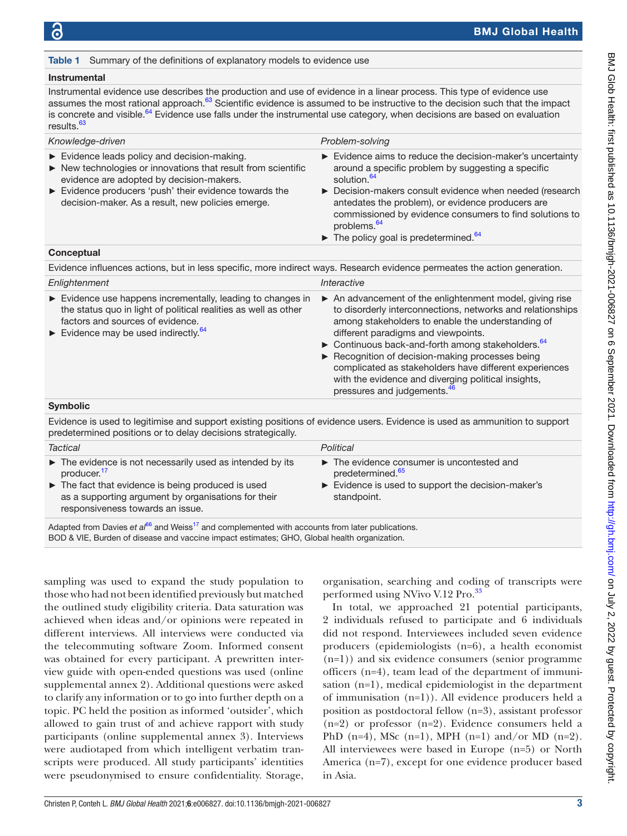#### <span id="page-2-0"></span>Table 1 Summary of the definitions of explanatory models to evidence use

#### Instrumental

Instrumental evidence use describes the production and use of evidence in a linear process. This type of evidence use assumes the most rational approach.<sup>63</sup> Scientific evidence is assumed to be instructive to the decision such that the impact is concrete and visible.<sup>64</sup> Evidence use falls under the instrumental use category, when decisions are based on evaluation results.<sup>63</sup>

| Knowledge-driven                                                                                                                                                                                                                                                                    | Problem-solving                                                                                                                                                                                                                                                                                                                                                                                                                                                                                       |  |  |  |
|-------------------------------------------------------------------------------------------------------------------------------------------------------------------------------------------------------------------------------------------------------------------------------------|-------------------------------------------------------------------------------------------------------------------------------------------------------------------------------------------------------------------------------------------------------------------------------------------------------------------------------------------------------------------------------------------------------------------------------------------------------------------------------------------------------|--|--|--|
| Evidence leads policy and decision-making.<br>$\triangleright$ New technologies or innovations that result from scientific<br>evidence are adopted by decision-makers.<br>Evidence producers 'push' their evidence towards the<br>decision-maker. As a result, new policies emerge. | Evidence aims to reduce the decision-maker's uncertainty<br>around a specific problem by suggesting a specific<br>solution. <sup>64</sup><br>▶ Decision-makers consult evidence when needed (research<br>antedates the problem), or evidence producers are<br>commissioned by evidence consumers to find solutions to<br>problems. <sup>64</sup><br>$\blacktriangleright$ The policy goal is predetermined. <sup>64</sup>                                                                             |  |  |  |
| Conceptual                                                                                                                                                                                                                                                                          |                                                                                                                                                                                                                                                                                                                                                                                                                                                                                                       |  |  |  |
| Evidence influences actions, but in less specific, more indirect ways. Research evidence permeates the action generation.                                                                                                                                                           |                                                                                                                                                                                                                                                                                                                                                                                                                                                                                                       |  |  |  |
| Enlightenment                                                                                                                                                                                                                                                                       | Interactive                                                                                                                                                                                                                                                                                                                                                                                                                                                                                           |  |  |  |
| Evidence use happens incrementally, leading to changes in<br>the status quo in light of political realities as well as other<br>factors and sources of evidence.<br>Evidence may be used indirectly. $64$                                                                           | An advancement of the enlightenment model, giving rise<br>to disorderly interconnections, networks and relationships<br>among stakeholders to enable the understanding of<br>different paradigms and viewpoints.<br>$\triangleright$ Continuous back-and-forth among stakeholders. $64$<br>Recognition of decision-making processes being<br>complicated as stakeholders have different experiences<br>with the evidence and diverging political insights,<br>pressures and judgements. <sup>46</sup> |  |  |  |
| <b>Symbolic</b>                                                                                                                                                                                                                                                                     |                                                                                                                                                                                                                                                                                                                                                                                                                                                                                                       |  |  |  |
| Evidence is used to legitimise and support existing positions of evidence users. Evidence is used as ammunition to support<br>predetermined positions or to delay decisions strategically.                                                                                          |                                                                                                                                                                                                                                                                                                                                                                                                                                                                                                       |  |  |  |
| <b>Tactical</b>                                                                                                                                                                                                                                                                     | Political                                                                                                                                                                                                                                                                                                                                                                                                                                                                                             |  |  |  |
|                                                                                                                                                                                                                                                                                     |                                                                                                                                                                                                                                                                                                                                                                                                                                                                                                       |  |  |  |

| The evidence is not necessarily used as intended by its<br>producer. <sup>17</sup>                                                          | $\blacktriangleright$ The evidence consumer is uncontested and<br>predetermined. <sup>65</sup> |
|---------------------------------------------------------------------------------------------------------------------------------------------|------------------------------------------------------------------------------------------------|
| The fact that evidence is being produced is used<br>as a supporting argument by organisations for their<br>responsiveness towards an issue. | Evidence is used to support the decision-maker's<br>standpoint.                                |
|                                                                                                                                             |                                                                                                |

Adapted from Davies *et al*<sup>[66](#page-9-3)</sup> and Weiss<sup>17</sup> and complemented with accounts from later publications. BOD & VIE, Burden of disease and vaccine impact estimates; GHO, Global health organization.

sampling was used to expand the study population to those who had not been identified previously but matched the outlined study eligibility criteria. Data saturation was achieved when ideas and/or opinions were repeated in different interviews. All interviews were conducted via the telecommuting software Zoom. Informed consent was obtained for every participant. A prewritten interview guide with open-ended questions was used [\(online](https://dx.doi.org/10.1136/bmjgh-2021-006827) [supplemental annex 2\)](https://dx.doi.org/10.1136/bmjgh-2021-006827). Additional questions were asked to clarify any information or to go into further depth on a topic. PC held the position as informed 'outsider', which allowed to gain trust of and achieve rapport with study participants ([online supplemental annex 3](https://dx.doi.org/10.1136/bmjgh-2021-006827)). Interviews were audiotaped from which intelligent verbatim transcripts were produced. All study participants' identities were pseudonymised to ensure confidentiality. Storage,

organisation, searching and coding of transcripts were performed using NVivo V.12 Pro.<sup>33</sup>

In total, we approached 21 potential participants, 2 individuals refused to participate and 6 individuals did not respond. Interviewees included seven evidence producers (epidemiologists (n=6), a health economist (n=1)) and six evidence consumers (senior programme officers (n=4), team lead of the department of immunisation (n=1), medical epidemiologist in the department of immunisation (n=1)). All evidence producers held a position as postdoctoral fellow (n=3), assistant professor  $(n=2)$  or professor  $(n=2)$ . Evidence consumers held a PhD (n=4), MSc (n=1), MPH (n=1) and/or MD (n=2). All interviewees were based in Europe (n=5) or North America (n=7), except for one evidence producer based in Asia.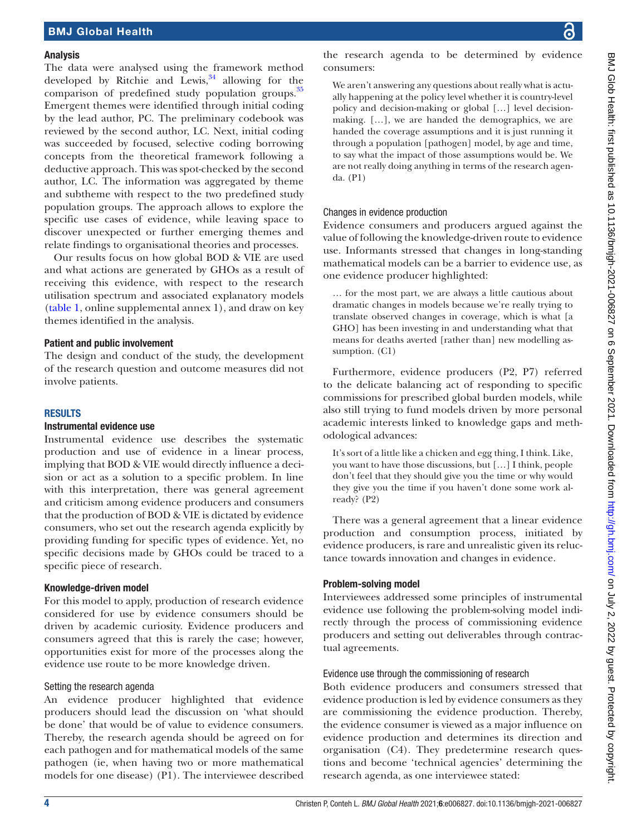### Analysis

The data were analysed using the framework method developed by Ritchie and Lewis, $34$  allowing for the comparison of predefined study population groups.<sup>[35](#page-8-21)</sup> Emergent themes were identified through initial coding by the lead author, PC. The preliminary codebook was reviewed by the second author, LC. Next, initial coding was succeeded by focused, selective coding borrowing concepts from the theoretical framework following a deductive approach. This was spot-checked by the second author, LC. The information was aggregated by theme and subtheme with respect to the two predefined study population groups. The approach allows to explore the specific use cases of evidence, while leaving space to discover unexpected or further emerging themes and relate findings to organisational theories and processes.

Our results focus on how global BOD & VIE are used and what actions are generated by GHOs as a result of receiving this evidence, with respect to the research utilisation spectrum and associated explanatory models ([table](#page-2-0) 1, [online supplemental annex 1\)](https://dx.doi.org/10.1136/bmjgh-2021-006827), and draw on key themes identified in the analysis.

### Patient and public involvement

The design and conduct of the study, the development of the research question and outcome measures did not involve patients.

### RESULTS

### Instrumental evidence use

Instrumental evidence use describes the systematic production and use of evidence in a linear process, implying that BOD & VIE would directly influence a decision or act as a solution to a specific problem. In line with this interpretation, there was general agreement and criticism among evidence producers and consumers that the production of BOD & VIE is dictated by evidence consumers, who set out the research agenda explicitly by providing funding for specific types of evidence. Yet, no specific decisions made by GHOs could be traced to a specific piece of research.

### Knowledge-driven model

For this model to apply, production of research evidence considered for use by evidence consumers should be driven by academic curiosity. Evidence producers and consumers agreed that this is rarely the case; however, opportunities exist for more of the processes along the evidence use route to be more knowledge driven.

### Setting the research agenda

An evidence producer highlighted that evidence producers should lead the discussion on 'what should be done' that would be of value to evidence consumers. Thereby, the research agenda should be agreed on for each pathogen and for mathematical models of the same pathogen (ie, when having two or more mathematical models for one disease) (P1). The interviewee described

the research agenda to be determined by evidence consumers:

We aren't answering any questions about really what is actually happening at the policy level whether it is country-level policy and decision-making or global […] level decisionmaking. […], we are handed the demographics, we are handed the coverage assumptions and it is just running it through a population [pathogen] model, by age and time, to say what the impact of those assumptions would be. We are not really doing anything in terms of the research agenda. (P1)

# Changes in evidence production

Evidence consumers and producers argued against the value of following the knowledge-driven route to evidence use. Informants stressed that changes in long-standing mathematical models can be a barrier to evidence use, as one evidence producer highlighted:

… for the most part, we are always a little cautious about dramatic changes in models because we're really trying to translate observed changes in coverage, which is what [a GHO] has been investing in and understanding what that means for deaths averted [rather than] new modelling assumption. (C1)

Furthermore, evidence producers (P2, P7) referred to the delicate balancing act of responding to specific commissions for prescribed global burden models, while also still trying to fund models driven by more personal academic interests linked to knowledge gaps and methodological advances:

It's sort of a little like a chicken and egg thing, I think. Like, you want to have those discussions, but […] I think, people don't feel that they should give you the time or why would they give you the time if you haven't done some work already? (P2)

There was a general agreement that a linear evidence production and consumption process, initiated by evidence producers, is rare and unrealistic given its reluctance towards innovation and changes in evidence.

# Problem-solving model

Interviewees addressed some principles of instrumental evidence use following the problem-solving model indirectly through the process of commissioning evidence producers and setting out deliverables through contractual agreements.

# Evidence use through the commissioning of research

Both evidence producers and consumers stressed that evidence production is led by evidence consumers as they are commissioning the evidence production. Thereby, the evidence consumer is viewed as a major influence on evidence production and determines its direction and organisation (C4). They predetermine research questions and become 'technical agencies' determining the research agenda, as one interviewee stated: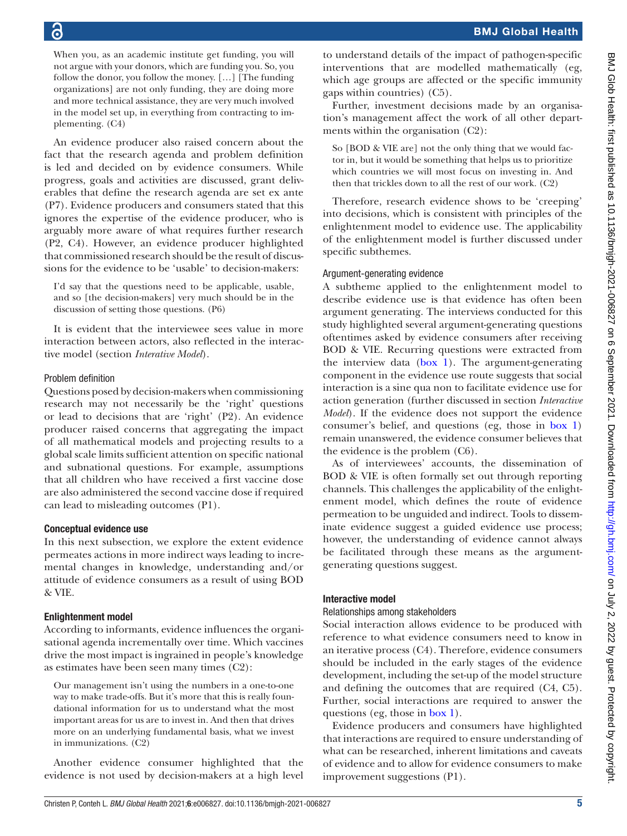When you, as an academic institute get funding, you will not argue with your donors, which are funding you. So, you follow the donor, you follow the money. […] [The funding organizations] are not only funding, they are doing more and more technical assistance, they are very much involved in the model set up, in everything from contracting to implementing. (C4)

An evidence producer also raised concern about the fact that the research agenda and problem definition is led and decided on by evidence consumers. While progress, goals and activities are discussed, grant deliverables that define the research agenda are set ex ante (P7). Evidence producers and consumers stated that this ignores the expertise of the evidence producer, who is arguably more aware of what requires further research (P2, C4). However, an evidence producer highlighted that commissioned research should be the result of discussions for the evidence to be 'usable' to decision-makers:

I'd say that the questions need to be applicable, usable, and so [the decision-makers] very much should be in the discussion of setting those questions. (P6)

It is evident that the interviewee sees value in more interaction between actors, also reflected in the interactive model (section *Interative Model*).

### Problem definition

Questions posed by decision-makers when commissioning research may not necessarily be the 'right' questions or lead to decisions that are 'right' (P2). An evidence producer raised concerns that aggregating the impact of all mathematical models and projecting results to a global scale limits sufficient attention on specific national and subnational questions. For example, assumptions that all children who have received a first vaccine dose are also administered the second vaccine dose if required can lead to misleading outcomes (P1).

### Conceptual evidence use

In this next subsection, we explore the extent evidence permeates actions in more indirect ways leading to incremental changes in knowledge, understanding and/or attitude of evidence consumers as a result of using BOD & VIE.

## Enlightenment model

According to informants, evidence influences the organisational agenda incrementally over time. Which vaccines drive the most impact is ingrained in people's knowledge as estimates have been seen many times (C2):

Our management isn't using the numbers in a one-to-one way to make trade-offs. But it's more that this is really foundational information for us to understand what the most important areas for us are to invest in. And then that drives more on an underlying fundamental basis, what we invest in immunizations. (C2)

Another evidence consumer highlighted that the evidence is not used by decision-makers at a high level

to understand details of the impact of pathogen-specific interventions that are modelled mathematically (eg, which age groups are affected or the specific immunity gaps within countries) (C5).

Further, investment decisions made by an organisation's management affect the work of all other departments within the organisation (C2):

So [BOD & VIE are] not the only thing that we would factor in, but it would be something that helps us to prioritize which countries we will most focus on investing in. And then that trickles down to all the rest of our work. (C2)

Therefore, research evidence shows to be 'creeping' into decisions, which is consistent with principles of the enlightenment model to evidence use. The applicability of the enlightenment model is further discussed under specific subthemes.

## Argument-generating evidence

A subtheme applied to the enlightenment model to describe evidence use is that evidence has often been argument generating. The interviews conducted for this study highlighted several argument-generating questions oftentimes asked by evidence consumers after receiving BOD & VIE. Recurring questions were extracted from the interview data [\(box](#page-5-0) 1). The argument-generating component in the evidence use route suggests that social interaction is a sine qua non to facilitate evidence use for action generation (further discussed in section *Interactive Model*). If the evidence does not support the evidence consumer's belief, and questions (eg, those in [box](#page-5-0) 1) remain unanswered, the evidence consumer believes that the evidence is the problem (C6).

As of interviewees' accounts, the dissemination of BOD & VIE is often formally set out through reporting channels. This challenges the applicability of the enlightenment model, which defines the route of evidence permeation to be unguided and indirect. Tools to disseminate evidence suggest a guided evidence use process; however, the understanding of evidence cannot always be facilitated through these means as the argumentgenerating questions suggest.

## Interactive model

### Relationships among stakeholders

Social interaction allows evidence to be produced with reference to what evidence consumers need to know in an iterative process (C4). Therefore, evidence consumers should be included in the early stages of the evidence development, including the set-up of the model structure and defining the outcomes that are required (C4, C5). Further, social interactions are required to answer the questions (eg, those in [box](#page-5-0) 1).

Evidence producers and consumers have highlighted that interactions are required to ensure understanding of what can be researched, inherent limitations and caveats of evidence and to allow for evidence consumers to make improvement suggestions (P1).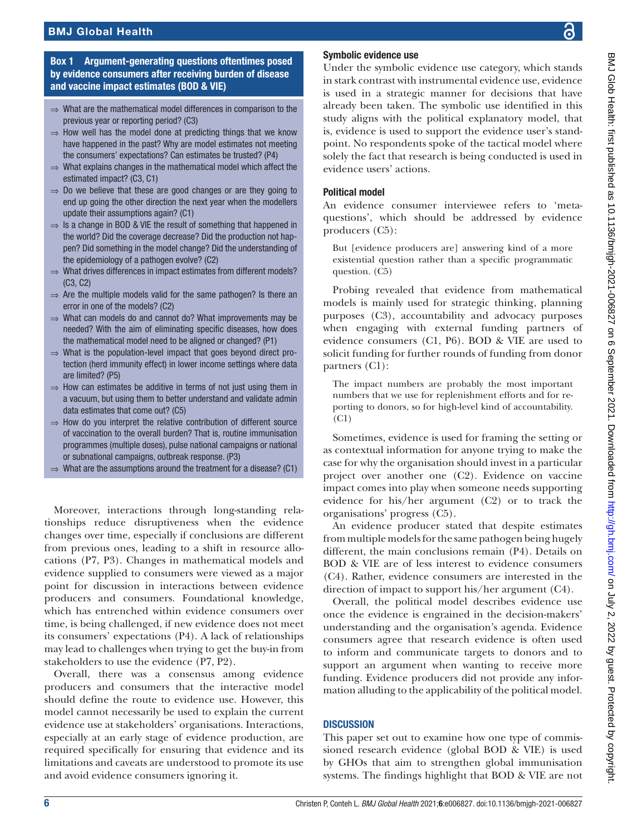## Box 1 Argument-generating questions oftentimes posed by evidence consumers after receiving burden of disease and vaccine impact estimates (BOD & VIE)

- <span id="page-5-0"></span>⇒ What are the mathematical model differences in comparison to the previous year or reporting period? (C3)
- $\Rightarrow$  How well has the model done at predicting things that we know have happened in the past? Why are model estimates not meeting the consumers' expectations? Can estimates be trusted? (P4)
- $\Rightarrow$  What explains changes in the mathematical model which affect the estimated impact? (C3, C1)
- $\Rightarrow$  Do we believe that these are good changes or are they going to end up going the other direction the next year when the modellers update their assumptions again? (C1)
- ⇒ Is a change in BOD & VIE the result of something that happened in the world? Did the coverage decrease? Did the production not happen? Did something in the model change? Did the understanding of the epidemiology of a pathogen evolve? (C2)
- ⇒ What drives differences in impact estimates from different models? (C3, C2)
- $\Rightarrow$  Are the multiple models valid for the same pathogen? Is there an error in one of the models? (C2)
- ⇒ What can models do and cannot do? What improvements may be needed? With the aim of eliminating specific diseases, how does the mathematical model need to be aligned or changed? (P1)
- $\Rightarrow$  What is the population-level impact that goes beyond direct protection (herd immunity effect) in lower income settings where data are limited? (P5)
- $\Rightarrow$  How can estimates be additive in terms of not just using them in a vacuum, but using them to better understand and validate admin data estimates that come out? (C5)
- $\Rightarrow$  How do you interpret the relative contribution of different source of vaccination to the overall burden? That is, routine immunisation programmes (multiple doses), pulse national campaigns or national or subnational campaigns, outbreak response. (P3)
- $\Rightarrow$  What are the assumptions around the treatment for a disease? (C1)

Moreover, interactions through long-standing relationships reduce disruptiveness when the evidence changes over time, especially if conclusions are different from previous ones, leading to a shift in resource allocations (P7, P3). Changes in mathematical models and evidence supplied to consumers were viewed as a major point for discussion in interactions between evidence producers and consumers. Foundational knowledge, which has entrenched within evidence consumers over time, is being challenged, if new evidence does not meet its consumers' expectations (P4). A lack of relationships may lead to challenges when trying to get the buy-in from stakeholders to use the evidence (P7, P2).

Overall, there was a consensus among evidence producers and consumers that the interactive model should define the route to evidence use. However, this model cannot necessarily be used to explain the current evidence use at stakeholders' organisations. Interactions, especially at an early stage of evidence production, are required specifically for ensuring that evidence and its limitations and caveats are understood to promote its use and avoid evidence consumers ignoring it.

### Symbolic evidence use

Under the symbolic evidence use category, which stands in stark contrast with instrumental evidence use, evidence is used in a strategic manner for decisions that have already been taken. The symbolic use identified in this study aligns with the political explanatory model, that is, evidence is used to support the evidence user's standpoint. No respondents spoke of the tactical model where solely the fact that research is being conducted is used in evidence users' actions.

### Political model

An evidence consumer interviewee refers to 'metaquestions', which should be addressed by evidence producers (C5):

But [evidence producers are] answering kind of a more existential question rather than a specific programmatic question. (C5)

Probing revealed that evidence from mathematical models is mainly used for strategic thinking, planning purposes (C3), accountability and advocacy purposes when engaging with external funding partners of evidence consumers (C1, P6). BOD & VIE are used to solicit funding for further rounds of funding from donor partners (C1):

The impact numbers are probably the most important numbers that we use for replenishment efforts and for reporting to donors, so for high-level kind of accountability. (C1)

Sometimes, evidence is used for framing the setting or as contextual information for anyone trying to make the case for why the organisation should invest in a particular project over another one (C2). Evidence on vaccine impact comes into play when someone needs supporting evidence for his/her argument (C2) or to track the organisations' progress (C5).

An evidence producer stated that despite estimates from multiple models for the same pathogen being hugely different, the main conclusions remain (P4). Details on BOD & VIE are of less interest to evidence consumers (C4). Rather, evidence consumers are interested in the direction of impact to support his/her argument (C4).

Overall, the political model describes evidence use once the evidence is engrained in the decision-makers' understanding and the organisation's agenda. Evidence consumers agree that research evidence is often used to inform and communicate targets to donors and to support an argument when wanting to receive more funding. Evidence producers did not provide any information alluding to the applicability of the political model.

### **DISCUSSION**

This paper set out to examine how one type of commissioned research evidence (global BOD & VIE) is used by GHOs that aim to strengthen global immunisation systems. The findings highlight that BOD & VIE are not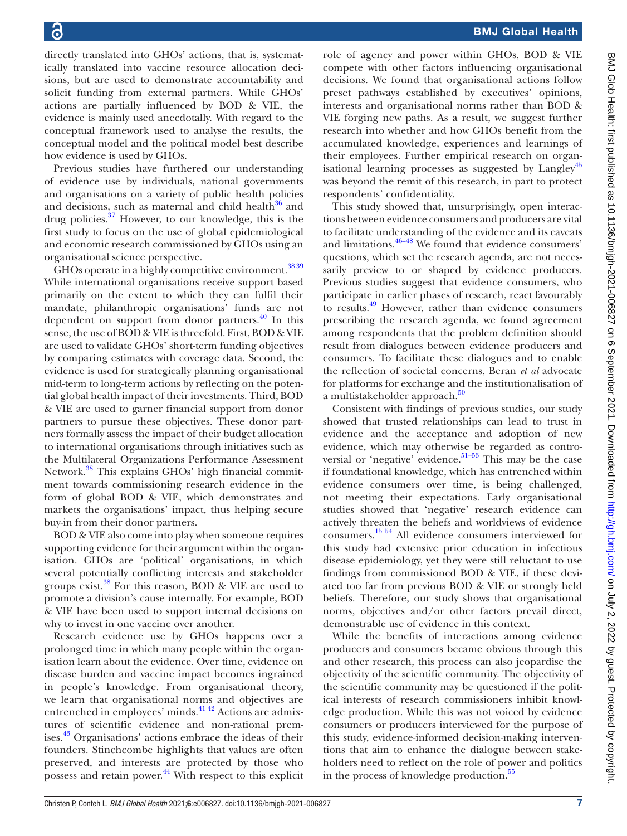directly translated into GHOs' actions, that is, systematically translated into vaccine resource allocation decisions, but are used to demonstrate accountability and solicit funding from external partners. While GHOs' actions are partially influenced by BOD & VIE, the evidence is mainly used anecdotally. With regard to the conceptual framework used to analyse the results, the conceptual model and the political model best describe how evidence is used by GHOs.

Previous studies have furthered our understanding of evidence use by individuals, national governments and organisations on a variety of public health policies and decisions, such as maternal and child health $36$  and drug policies. $37$  However, to our knowledge, this is the first study to focus on the use of global epidemiological and economic research commissioned by GHOs using an organisational science perspective.

GHOs operate in a highly competitive environment.<sup>3839</sup> While international organisations receive support based primarily on the extent to which they can fulfil their mandate, philanthropic organisations' funds are not dependent on support from donor partners. $^{40}$  In this sense, the use of BOD & VIE is threefold. First, BOD & VIE are used to validate GHOs' short-term funding objectives by comparing estimates with coverage data. Second, the evidence is used for strategically planning organisational mid-term to long-term actions by reflecting on the potential global health impact of their investments. Third, BOD & VIE are used to garner financial support from donor partners to pursue these objectives. These donor partners formally assess the impact of their budget allocation to international organisations through initiatives such as the Multilateral Organizations Performance Assessment Network.<sup>[38](#page-8-24)</sup> This explains GHOs' high financial commitment towards commissioning research evidence in the form of global BOD & VIE, which demonstrates and markets the organisations' impact, thus helping secure buy-in from their donor partners.

BOD & VIE also come into play when someone requires supporting evidence for their argument within the organisation. GHOs are 'political' organisations, in which several potentially conflicting interests and stakeholder groups exist. $38$  For this reason, BOD & VIE are used to promote a division's cause internally. For example, BOD & VIE have been used to support internal decisions on why to invest in one vaccine over another.

Research evidence use by GHOs happens over a prolonged time in which many people within the organisation learn about the evidence. Over time, evidence on disease burden and vaccine impact becomes ingrained in people's knowledge. From organisational theory, we learn that organisational norms and objectives are entrenched in employees' minds.<sup>[41 42](#page-8-26)</sup> Actions are admixtures of scientific evidence and non-rational premises.[43](#page-8-27) Organisations' actions embrace the ideas of their founders. Stinchcombe highlights that values are often preserved, and interests are protected by those who possess and retain power. $\frac{44}{1}$  With respect to this explicit

role of agency and power within GHOs, BOD & VIE compete with other factors influencing organisational decisions. We found that organisational actions follow preset pathways established by executives' opinions, interests and organisational norms rather than BOD & VIE forging new paths. As a result, we suggest further research into whether and how GHOs benefit from the accumulated knowledge, experiences and learnings of their employees. Further empirical research on organisational learning processes as suggested by  $L$ angley<sup>[45](#page-8-29)</sup> was beyond the remit of this research, in part to protect respondents' confidentiality.

This study showed that, unsurprisingly, open interactions between evidence consumers and producers are vital to facilitate understanding of the evidence and its caveats and limitations. $46-48$  We found that evidence consumers' questions, which set the research agenda, are not necessarily preview to or shaped by evidence producers. Previous studies suggest that evidence consumers, who participate in earlier phases of research, react favourably to results.<sup>49</sup> However, rather than evidence consumers prescribing the research agenda, we found agreement among respondents that the problem definition should result from dialogues between evidence producers and consumers. To facilitate these dialogues and to enable the reflection of societal concerns, Beran *et al* advocate for platforms for exchange and the institutionalisation of a multistakeholder approach.<sup>[50](#page-8-31)</sup>

Consistent with findings of previous studies, our study showed that trusted relationships can lead to trust in evidence and the acceptance and adoption of new evidence, which may otherwise be regarded as controversial or 'negative' evidence. $51-53$  This may be the case if foundational knowledge, which has entrenched within evidence consumers over time, is being challenged, not meeting their expectations. Early organisational studies showed that 'negative' research evidence can actively threaten the beliefs and worldviews of evidence consumers. [15 54](#page-8-9) All evidence consumers interviewed for this study had extensive prior education in infectious disease epidemiology, yet they were still reluctant to use findings from commissioned BOD & VIE, if these deviated too far from previous BOD & VIE or strongly held beliefs. Therefore, our study shows that organisational norms, objectives and/or other factors prevail direct, demonstrable use of evidence in this context.

While the benefits of interactions among evidence producers and consumers became obvious through this and other research, this process can also jeopardise the objectivity of the scientific community. The objectivity of the scientific community may be questioned if the political interests of research commissioners inhibit knowledge production. While this was not voiced by evidence consumers or producers interviewed for the purpose of this study, evidence-informed decision-making interventions that aim to enhance the dialogue between stakeholders need to reflect on the role of power and politics in the process of knowledge production.<sup>[55](#page-9-4)</sup>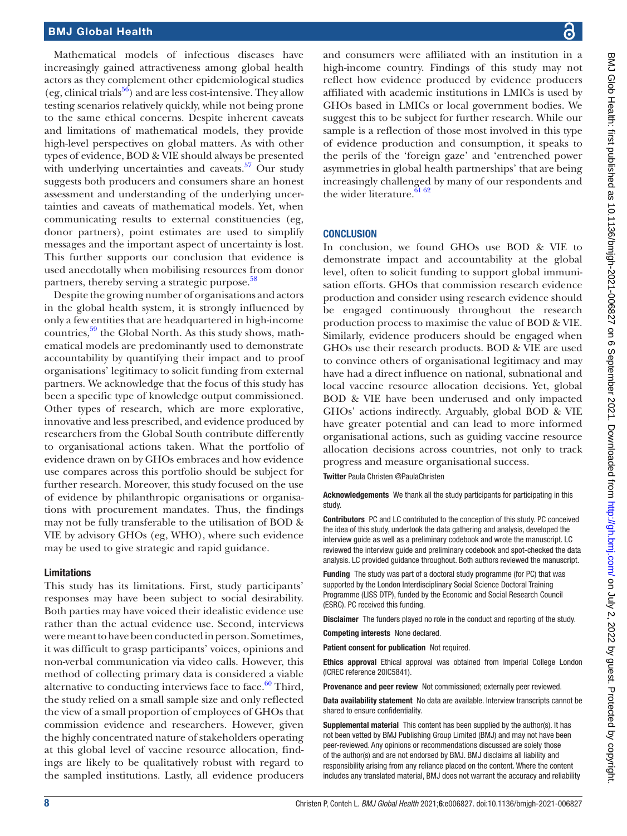Mathematical models of infectious diseases have increasingly gained attractiveness among global health actors as they complement other epidemiological studies (eg, clinical trials<sup>[56](#page-9-5)</sup>) and are less cost-intensive. They allow testing scenarios relatively quickly, while not being prone to the same ethical concerns. Despite inherent caveats and limitations of mathematical models, they provide high-level perspectives on global matters. As with other types of evidence, BOD & VIE should always be presented with underlying uncertainties and caveats. $57$  Our study suggests both producers and consumers share an honest assessment and understanding of the underlying uncertainties and caveats of mathematical models. Yet, when communicating results to external constituencies (eg, donor partners), point estimates are used to simplify messages and the important aspect of uncertainty is lost. This further supports our conclusion that evidence is used anecdotally when mobilising resources from donor partners, thereby serving a strategic purpose.<sup>[58](#page-9-7)</sup>

Despite the growing number of organisations and actors in the global health system, it is strongly influenced by only a few entities that are headquartered in high-income countries,<sup>59</sup> the Global North. As this study shows, mathematical models are predominantly used to demonstrate accountability by quantifying their impact and to proof organisations' legitimacy to solicit funding from external partners. We acknowledge that the focus of this study has been a specific type of knowledge output commissioned. Other types of research, which are more explorative, innovative and less prescribed, and evidence produced by researchers from the Global South contribute differently to organisational actions taken. What the portfolio of evidence drawn on by GHOs embraces and how evidence use compares across this portfolio should be subject for further research. Moreover, this study focused on the use of evidence by philanthropic organisations or organisations with procurement mandates. Thus, the findings may not be fully transferable to the utilisation of BOD & VIE by advisory GHOs (eg, WHO), where such evidence may be used to give strategic and rapid guidance.

#### Limitations

This study has its limitations. First, study participants' responses may have been subject to social desirability. Both parties may have voiced their idealistic evidence use rather than the actual evidence use. Second, interviews were meant to have been conducted in person. Sometimes, it was difficult to grasp participants' voices, opinions and non-verbal communication via video calls. However, this method of collecting primary data is considered a viable alternative to conducting interviews face to face. $60$  Third, the study relied on a small sample size and only reflected the view of a small proportion of employees of GHOs that commission evidence and researchers. However, given the highly concentrated nature of stakeholders operating at this global level of vaccine resource allocation, findings are likely to be qualitatively robust with regard to the sampled institutions. Lastly, all evidence producers

and consumers were affiliated with an institution in a high-income country. Findings of this study may not reflect how evidence produced by evidence producers affiliated with academic institutions in LMICs is used by GHOs based in LMICs or local government bodies. We suggest this to be subject for further research. While our sample is a reflection of those most involved in this type of evidence production and consumption, it speaks to the perils of the 'foreign gaze' and 'entrenched power asymmetries in global health partnerships' that are being increasingly challenged by many of our respondents and the wider literature. $6162$ 

#### **CONCLUSION**

In conclusion, we found GHOs use BOD & VIE to demonstrate impact and accountability at the global level, often to solicit funding to support global immunisation efforts. GHOs that commission research evidence production and consider using research evidence should be engaged continuously throughout the research production process to maximise the value of BOD & VIE. Similarly, evidence producers should be engaged when GHOs use their research products. BOD & VIE are used to convince others of organisational legitimacy and may have had a direct influence on national, subnational and local vaccine resource allocation decisions. Yet, global BOD & VIE have been underused and only impacted GHOs' actions indirectly. Arguably, global BOD & VIE have greater potential and can lead to more informed organisational actions, such as guiding vaccine resource allocation decisions across countries, not only to track progress and measure organisational success.

Twitter Paula Christen [@PaulaChristen](https://twitter.com/PaulaChristen)

Acknowledgements We thank all the study participants for participating in this study.

Contributors PC and LC contributed to the conception of this study. PC conceived the idea of this study, undertook the data gathering and analysis, developed the interview guide as well as a preliminary codebook and wrote the manuscript. LC reviewed the interview guide and preliminary codebook and spot-checked the data analysis. LC provided guidance throughout. Both authors reviewed the manuscript.

Funding The study was part of a doctoral study programme (for PC) that was supported by the London Interdisciplinary Social Science Doctoral Training Programme (LISS DTP), funded by the Economic and Social Research Council (ESRC). PC received this funding.

Disclaimer The funders played no role in the conduct and reporting of the study.

Competing interests None declared.

Patient consent for publication Not required.

Ethics approval Ethical approval was obtained from Imperial College London (ICREC reference 20IC5841).

Provenance and peer review Not commissioned; externally peer reviewed.

Data availability statement No data are available. Interview transcripts cannot be shared to ensure confidentiality.

Supplemental material This content has been supplied by the author(s). It has not been vetted by BMJ Publishing Group Limited (BMJ) and may not have been peer-reviewed. Any opinions or recommendations discussed are solely those of the author(s) and are not endorsed by BMJ. BMJ disclaims all liability and responsibility arising from any reliance placed on the content. Where the content includes any translated material, BMJ does not warrant the accuracy and reliability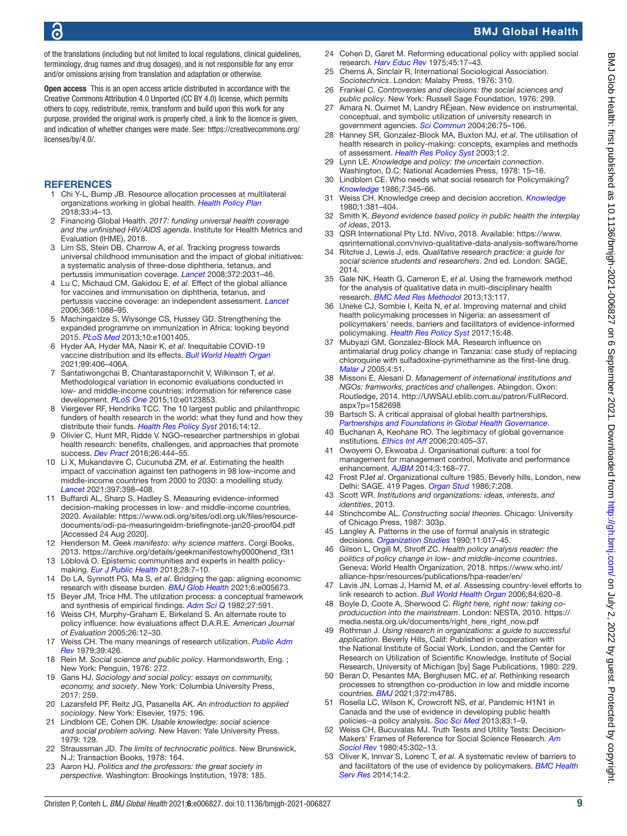of the translations (including but not limited to local regulations, clinical guidelines, terminology, drug names and drug dosages), and is not responsible for any error and/or omissions arising from translation and adaptation or otherwise.

Open access This is an open access article distributed in accordance with the Creative Commons Attribution 4.0 Unported (CC BY 4.0) license, which permits others to copy, redistribute, remix, transform and build upon this work for any purpose, provided the original work is properly cited, a link to the licence is given, and indication of whether changes were made. See: [https://creativecommons.org/](https://creativecommons.org/licenses/by/4.0/) [licenses/by/4.0/](https://creativecommons.org/licenses/by/4.0/).

#### **REFERENCES**

- <span id="page-8-0"></span>1 Chi Y-L, Bump JB. Resource allocation processes at multilateral organizations working in global health. *[Health Policy Plan](http://dx.doi.org/10.1093/heapol/czx140)* 2018;33:i4–13.
- <span id="page-8-1"></span>2 Financing Global Health. *2017: funding universal health coverage and the unfinished HIV/AIDS agenda*. Institute for Health Metrics and Evaluation (IHME), 2018.
- <span id="page-8-2"></span>3 Lim SS, Stein DB, Charrow A, *et al*. Tracking progress towards universal childhood immunisation and the impact of global initiatives: a systematic analysis of three-dose diphtheria, tetanus, and pertussis immunisation coverage. *[Lancet](http://dx.doi.org/10.1016/S0140-6736(08)61869-3)* 2008;372:2031–46.
- Lu C, Michaud CM, Gakidou E, et al. Effect of the global alliance for vaccines and immunisation on diphtheria, tetanus, and pertussis vaccine coverage: an independent assessment. *[Lancet](http://dx.doi.org/10.1016/S0140-6736(06)69337-9)* 2006;368:1088–95.
- <span id="page-8-3"></span>5 Machingaidze S, Wiysonge CS, Hussey GD. Strengthening the expanded programme on immunization in Africa: looking beyond 2015. *[PLoS Med](http://dx.doi.org/10.1371/journal.pmed.1001405)* 2013;10:e1001405.
- <span id="page-8-4"></span>6 Hyder AA, Hyder MA, Nasir K, *et al*. Inequitable COVID-19 vaccine distribution and its effects. *[Bull World Health Organ](http://dx.doi.org/10.2471/BLT.21.285616)* 2021;99:406–406A.
- <span id="page-8-5"></span>7 Santatiwongchai B, Chantarastapornchit V, Wilkinson T, *et al*. Methodological variation in economic evaluations conducted in low- and middle-income countries: information for reference case development. *[PLoS One](http://dx.doi.org/10.1371/journal.pone.0123853)* 2015;10:e0123853.
- 8 Viergever RF, Hendriks TCC. The 10 largest public and philanthropic funders of health research in the world: what they fund and how they distribute their funds. *[Health Res Policy Syst](http://dx.doi.org/10.1186/s12961-015-0074-z)* 2016;14:12.
- 9 Olivier C, Hunt MR, Ridde V. NGO–researcher partnerships in global health research: benefits, challenges, and approaches that promote success. *[Dev Pract](http://dx.doi.org/10.1080/09614524.2016.1164122)* 2016;26:444–55.
- <span id="page-8-6"></span>10 Li X, Mukandavire C, Cucunubá ZM, *et al*. Estimating the health impact of vaccination against ten pathogens in 98 low-income and middle-income countries from 2000 to 2030: a modelling study. *[Lancet](http://dx.doi.org/10.1016/S0140-6736(20)32657-X)* 2021;397:398–408.
- <span id="page-8-7"></span>11 Buffardi AL, Sharp S, Hadley S. Measuring evidence-informed decision-making processes in low- and middle-income countries, 2020. Available: [https://www.odi.org/sites/odi.org.uk/files/resource](https://www.odi.org/sites/odi.org.uk/files/resource-documents/odi-pa-measuringeidm-briefingnote-jan20-proof04.pdf)[documents/odi-pa-measuringeidm-briefingnote-jan20-proof04.pdf](https://www.odi.org/sites/odi.org.uk/files/resource-documents/odi-pa-measuringeidm-briefingnote-jan20-proof04.pdf) [Accessed 24 Aug 2020].
- <span id="page-8-8"></span>12 Henderson M. *Geek manifesto: why science matters*. Corgi Books, 2013. [https://archive.org/details/geekmanifestowhy0000hend\\_f3t1](https://archive.org/details/geekmanifestowhy0000hend_f3t1)
- 13 Löblová O. Epistemic communities and experts in health policymaking. *[Eur J Public Health](http://dx.doi.org/10.1093/eurpub/cky156)* 2018;28:7–10.
- 14 Do LA, Synnott PG, Ma S, *et al*. Bridging the gap: aligning economic research with disease burden. *[BMJ Glob Health](http://dx.doi.org/10.1136/bmjgh-2021-005673)* 2021;6:e005673.
- <span id="page-8-9"></span>15 Beyer JM, Trice HM. The utilization process: a conceptual framework and synthesis of empirical findings. *[Adm Sci Q](http://dx.doi.org/10.2307/2392533)* 1982;27:591.
- <span id="page-8-10"></span>16 Weiss CH, Murphy-Graham E, Birkeland S. An alternate route to policy influence: how evaluations affect D.A.R.E. *American Journal of Evaluation* 2005;26:12–30.
- <span id="page-8-11"></span>17 Weiss CH. The many meanings of research utilization. *[Public Adm](http://dx.doi.org/10.2307/3109916)  [Rev](http://dx.doi.org/10.2307/3109916)* 1979;39:426.
- <span id="page-8-12"></span>18 Rein M. *Social science and public policy*. Harmondsworth, Eng. ; New York: Penguin, 1976: 272.
- 19 Gans HJ. *Sociology and social policy: essays on community, economy, and society*. New York: Columbia University Press, 2017: 259.
- 20 Lazarsfeld PF, Reitz JG, Pasanella AK. *An introduction to applied sociology*. New York: Elsevier, 1975: 196.
- 21 Lindblom CE, Cohen DK. *Usable knowledge: social science and social problem solving*. New Haven: Yale University Press, 1979: 129.
- 22 Straussman JD. *The limits of technocratic politics*. New Brunswick, N.J: Transaction Books, 1978: 164.
- 23 Aaron HJ. *Politics and the professors: the great society in perspective*. Washington: Brookings Institution, 1978: 185.
- 24 Cohen D, Garet M. Reforming educational policy with applied social research. *[Harv Educ Rev](http://dx.doi.org/10.17763/haer.45.1.816r0525w1283044)* 1975;45:17–43.
- 25 Cherns A, Sinclair R, International Sociological Association. *Sociotechnics*. London: Malaby Press, 1976: 310.
- 26 Frankel C. *Controversies and decisions: the social sciences and public policy*. New York: Russell Sage Foundation, 1976: 299.
- <span id="page-8-13"></span>27 Amara N, Ouimet M, Landry RÉjean. New evidence on instrumental, conceptual, and symbolic utilization of university research in government agencies. *[Sci Commun](http://dx.doi.org/10.1177/1075547004267491)* 2004;26:75–106.
- <span id="page-8-14"></span>28 Hanney SR, Gonzalez-Block MA, Buxton MJ, *et al*. The utilisation of health research in policy-making: concepts, examples and methods of assessment. *[Health Res Policy Syst](http://dx.doi.org/10.1186/1478-4505-1-2)* 2003;1:2.
- <span id="page-8-15"></span>29 Lynn LE. *Knowledge and policy: the uncertain connection*. Washington, D.C: National Academies Press, 1978: 15–16.
- 30 Lindblom CE. Who needs what social research for Policymaking? *[Knowledge](http://dx.doi.org/10.1177/107554708600700401)* 1986;7:345–66.
- <span id="page-8-16"></span>31 Weiss CH. Knowledge creep and decision accretion. *[Knowledge](http://dx.doi.org/10.1177/107554708000100303)* 1980;1:381–404.
- <span id="page-8-17"></span>32 Smith K. *Beyond evidence based policy in public health the interplay of ideas*, 2013.
- <span id="page-8-18"></span>33 QSR International Pty Ltd. NVivo, 2018. Available: [https://www.](https://www.qsrinternational.com/nvivo-qualitative-data-analysis-software/home) [qsrinternational.com/nvivo-qualitative-data-analysis-software/home](https://www.qsrinternational.com/nvivo-qualitative-data-analysis-software/home)
- <span id="page-8-20"></span>34 Ritchie J, Lewis J, eds. *Qualitative research practice: a guide for social science students and researchers*. 2nd ed. London: SAGE, 2014.
- <span id="page-8-21"></span>35 Gale NK, Heath G, Cameron E, *et al*. Using the framework method for the analysis of qualitative data in multi-disciplinary health research. *[BMC Med Res Methodol](http://dx.doi.org/10.1186/1471-2288-13-117)* 2013;13:117.
- <span id="page-8-22"></span>36 Uneke CJ, Sombie I, Keita N, *et al*. Improving maternal and child health policymaking processes in Nigeria: an assessment of policymakers' needs, barriers and facilitators of evidence-informed policymaking. *[Health Res Policy Syst](http://dx.doi.org/10.1186/s12961-017-0217-5)* 2017;15:48.
- <span id="page-8-23"></span>37 Mubyazi GM, Gonzalez-Block MA. Research influence on antimalarial drug policy change in Tanzania: case study of replacing chloroquine with sulfadoxine-pyrimethamine as the first-line drug. *[Malar J](http://dx.doi.org/10.1186/1475-2875-4-51)* 2005;4:51.
- <span id="page-8-24"></span>38 Missoni E, Alesani D. *Management of international institutions and NGOs: framworks, practices and challenges*. Abingdon, Oxon: Routledge, 2014. [http://UWSAU.eblib.com.au/patron/FullRecord.](http://UWSAU.eblib.com.au/patron/FullRecord.aspx?p=1582698) [aspx?p=1582698](http://UWSAU.eblib.com.au/patron/FullRecord.aspx?p=1582698)
- 39 Bartsch S. A critical appraisal of global health partnerships. *[Partnerships and Foundations in Global Health Governance](http://dx.doi.org/10.1057/9780230299474_2)*.
- <span id="page-8-25"></span>40 Buchanan A, Keohane RO. The legitimacy of global governance institutions. *[Ethics Int Aff](http://dx.doi.org/10.1111/j.1747-7093.2006.00043.x)* 2006;20:405–37.
- <span id="page-8-26"></span>41 Owoyemi O, Ekwoaba J. Organisational culture: a tool for management for management control, Motivate and performance enhancement. *[AJBM](http://dx.doi.org/10.11634/216796061403514)* 2014;3:168–77.
- 42 Frost PJ*et al*. Organizational culture 1985, Beverly hills, London, new Delhi: SAGE. 419 Pages. *[Organ Stud](http://dx.doi.org/10.1177/017084068600700212)* 1986;7:208.
- <span id="page-8-27"></span>43 Scott WR. *Institutions and organizations: ideas, interests, and identities*, 2013.
- <span id="page-8-28"></span>44 Stinchcombe AL. *Constructing social theories*. Chicago: University of Chicago Press, 1987: 303p.
- <span id="page-8-29"></span>45 Langley A. Patterns in the use of formal analysis in strategic decisions. *[Organization Studies](http://dx.doi.org/10.1177/017084069001100104)* 1990;11:017–45.
- <span id="page-8-19"></span>46 Gilson L, Orgill M, Shroff ZC. *Health policy analysis reader: the politics of policy change in low- and middle-income countries*. Geneva: World Health Organization, 2018. [https://www.who.int/](https://www.who.int/alliance-hpsr/resources/publications/hpa-reader/en/) [alliance-hpsr/resources/publications/hpa-reader/en/](https://www.who.int/alliance-hpsr/resources/publications/hpa-reader/en/)
- 47 Lavis JN, Lomas J, Hamid M, *et al*. Assessing country-level efforts to link research to action. *[Bull World Health Organ](http://dx.doi.org/10.2471/BLT.06.030312)* 2006;84:620–8.
- 48 Boyle D, Coote A, Sherwood C. *Right here, right now: taking coproducuction into the mainstream*. London: NESTA, 2010. [https://](https://media.nesta.org.uk/documents/right_here_right_now.pdf) [media.nesta.org.uk/documents/right\\_here\\_right\\_now.pdf](https://media.nesta.org.uk/documents/right_here_right_now.pdf)
- <span id="page-8-30"></span>49 Rothman J. *Using research in organizations: a guide to successful application*. Beverly Hills, Calif: Published in cooperation with the National Institute of Social Work, London, and the Center for Research on Utilization of Scientific Knowledge, Institute of Social Research, University of Michigan [by] Sage Publications, 1980: 229.
- <span id="page-8-31"></span>50 Beran D, Pesantes MA, Berghusen MC, *et al*. Rethinking research processes to strengthen co-production in low and middle income countries. *[BMJ](http://dx.doi.org/10.1136/bmj.m4785)* 2021;372:m4785.
- <span id="page-8-32"></span>51 Rosella LC, Wilson K, Crowcroft NS, *et al*. Pandemic H1N1 in Canada and the use of evidence in developing public health policies--a policy analysis. *[Soc Sci Med](http://dx.doi.org/10.1016/j.socscimed.2013.02.009)* 2013;83:1–9.
- Weiss CH, Bucuvalas MJ. Truth Tests and Utility Tests: Decision-Makers' Frames of Reference for Social Science Research. *[Am](http://dx.doi.org/10.2307/2095127)  [Sociol Rev](http://dx.doi.org/10.2307/2095127)* 1980;45:302–13.
- 53 Oliver K, Innvar S, Lorenc T, *et al*. A systematic review of barriers to and facilitators of the use of evidence by policymakers. *[BMC Health](http://dx.doi.org/10.1186/1472-6963-14-2)  [Serv Res](http://dx.doi.org/10.1186/1472-6963-14-2)* 2014;14:2.